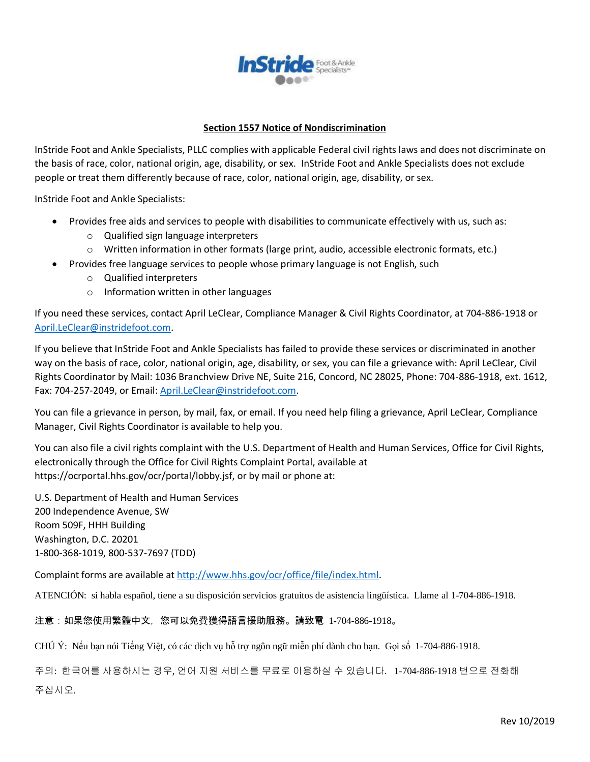

## **Section 1557 Notice of Nondiscrimination**

InStride Foot and Ankle Specialists, PLLC complies with applicable Federal civil rights laws and does not discriminate on the basis of race, color, national origin, age, disability, or sex. InStride Foot and Ankle Specialists does not exclude people or treat them differently because of race, color, national origin, age, disability, or sex.

InStride Foot and Ankle Specialists:

- Provides free aids and services to people with disabilities to communicate effectively with us, such as:
	- o Qualified sign language interpreters
	- o Written information in other formats (large print, audio, accessible electronic formats, etc.)
- Provides free language services to people whose primary language is not English, such
	- o Qualified interpreters
	- o Information written in other languages

If you need these services, contact April LeClear, Compliance Manager & Civil Rights Coordinator, at 704-886-1918 or [April.LeClear@instridefoot.com.](mailto:April.LeClear@instridefoot.com)

If you believe that InStride Foot and Ankle Specialists has failed to provide these services or discriminated in another way on the basis of race, color, national origin, age, disability, or sex, you can file a grievance with: April LeClear, Civil Rights Coordinator by Mail: 1036 Branchview Drive NE, Suite 216, Concord, NC 28025, Phone: 704-886-1918, ext. 1612, Fax: 704-257-2049, or Email: [April.LeClear@instridefoot.com.](mailto:April.LeClear@instridefoot.com)

You can file a grievance in person, by mail, fax, or email. If you need help filing a grievance, April LeClear, Compliance Manager, Civil Rights Coordinator is available to help you.

You can also file a civil rights complaint with the U.S. Department of Health and Human Services, Office for Civil Rights, electronically through the Office for Civil Rights Complaint Portal, available at https://ocrportal.hhs.gov/ocr/portal/lobby.jsf, or by mail or phone at:

U.S. Department of Health and Human Services 200 Independence Avenue, SW Room 509F, HHH Building Washington, D.C. 20201 1-800-368-1019, 800-537-7697 (TDD)

Complaint forms are available a[t http://www.hhs.gov/ocr/office/file/index.html.](http://www.hhs.gov/ocr/office/file/index.html)

ATENCIÓN: si habla español, tiene a su disposición servicios gratuitos de asistencia lingüística. Llame al 1-704-886-1918.

## 注意:如果您使用繁體中文,您可以免費獲得語言援助服務。請致電 1-704-886-1918。

CHÚ Ý: Nếu bạn nói Tiếng Việt, có các dịch vụ hỗ trợ ngôn ngữ miễn phí dành cho bạn. Gọi số 1-704-886-1918.

주의: 한국어를 사용하시는 경우, 언어 지원 서비스를 무료로 이용하실 수 있습니다. 1-704-886-1918 번으로 전화해 주십시오.